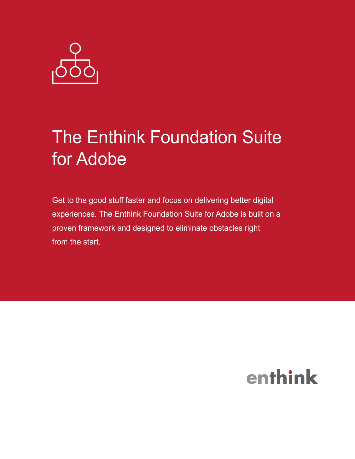

# The Enthink Foundation Suite for Adobe

Get to the good stuff faster and focus on delivering better digital experiences. The Enthink Foundation Suite for Adobe is built on a proven framework and designed to eliminate obstacles right from the start.

## enthink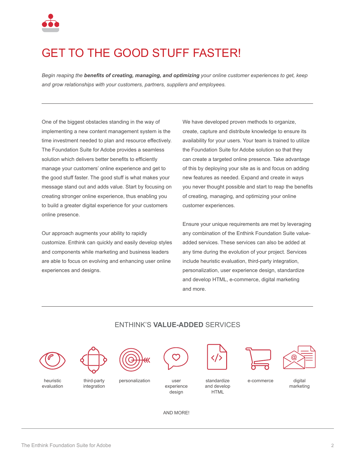

### GET TO THE GOOD STUFF FASTER!

*Begin reaping the benefits of creating, managing, and optimizing your online customer experiences to get, keep and grow relationships with your customers, partners, suppliers and employees.*

One of the biggest obstacles standing in the way of implementing a new content management system is the time investment needed to plan and resource effectively. The Foundation Suite for Adobe provides a seamless solution which delivers better benefits to efficiently manage your customers' online experience and get to the good stuff faster. The good stuff is what makes your message stand out and adds value. Start by focusing on creating stronger online experience, thus enabling you to build a greater digital experience for your customers online presence.

Our approach augments your ability to rapidly customize. Enthink can quickly and easily develop styles and components while marketing and business leaders are able to focus on evolving and enhancing user online experiences and designs.

We have developed proven methods to organize, create, capture and distribute knowledge to ensure its availability for your users. Your team is trained to utilize the Foundation Suite for Adobe solution so that they can create a targeted online presence. Take advantage of this by deploying your site as is and focus on adding new features as needed. Expand and create in ways you never thought possible and start to reap the benefits of creating, managing, and optimizing your online customer experiences.

Ensure your unique requirements are met by leveraging any combination of the Enthink Foundation Suite valueadded services. These services can also be added at any time during the evolution of your project. Services include heuristic evaluation, third-party integration, personalization, user experience design, standardize and develop HTML, e-commerce, digital marketing and more.



### ENTHINK'S **VALUE-ADDED** SERVICES

AND MORE!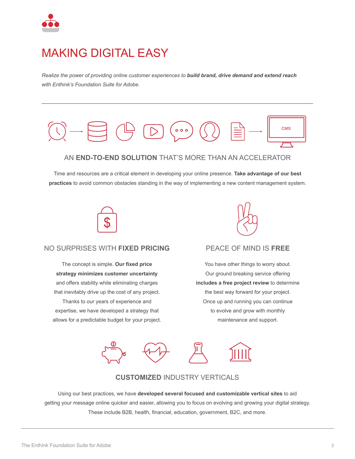

### MAKING DIGITAL EASY

*Realize the power of providing online customer experiences to build brand, drive demand and extend reach with Enthink's Foundation Suite for Adobe.*



Time and resources are a critical element in developing your online presence. **Take advantage of our best practices** to avoid common obstacles standing in the way of implementing a new content management system.



#### NO SURPRISES WITH **FIXED PRICING**

The concept is simple. **Our fixed price strategy minimizes customer uncertainty** and offers stability while eliminating charges that inevitably drive up the cost of any project. Thanks to our years of experience and expertise, we have developed a strategy that allows for a predictable budget for your project.



#### PEACE OF MIND IS **FREE**

You have other things to worry about. Our ground breaking service offering **includes a free project review** to determine the best way forward for your project. Once up and running you can continue to evolve and grow with monthly maintenance and support.



#### **CUSTOMIZED** INDUSTRY VERTICALS

Using our best practices, we have **developed several focused and customizable vertical sites** to aid getting your message online quicker and easier, allowing you to focus on evolving and growing your digital strategy. These include B2B, health, financial, education, government, B2C, and more.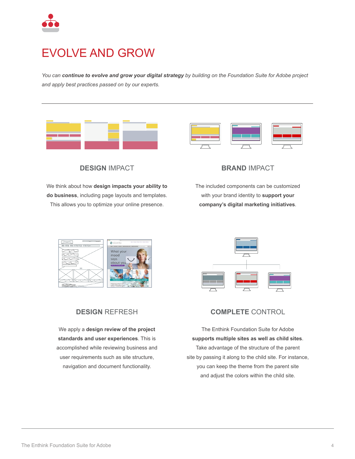

### EVOLVE AND GROW

*You can continue to evolve and grow your digital strategy by building on the Foundation Suite for Adobe project and apply best practices passed on by our experts.* 





**DESIGN** IMPACT

We think about how **design impacts your ability to do business**, including page layouts and templates. This allows you to optimize your online presence.



The included components can be customized with your brand identity to **support your company's digital marketing initiatives**.





### **DESIGN** REFRESH

We apply a **design review of the project standards and user experiences**. This is accomplished while reviewing business and user requirements such as site structure, navigation and document functionality.



The Enthink Foundation Suite for Adobe **supports multiple sites as well as child sites**. Take advantage of the structure of the parent site by passing it along to the child site. For instance, you can keep the theme from the parent site and adjust the colors within the child site.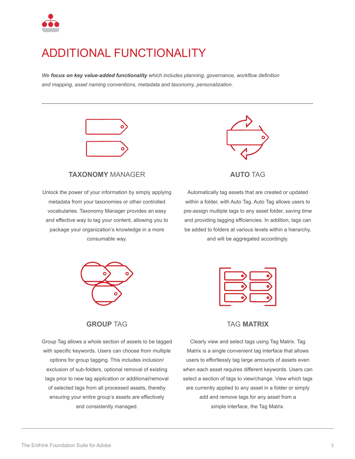

### ADDITIONAL FUNCTIONALITY

*We focus on key value-added functionality which includes planning, governance, workflow definition and mapping, asset naming conventions, metadata and taxonomy, personalization.*



#### **TAXONOMY** MANAGER

Unlock the power of your information by simply applying metadata from your taxonomies or other controlled vocabularies. Taxonomy Manager provides an easy and effective way to tag your content, allowing you to package your organization's knowledge in a more consumable way.



**AUTO** TAG

Automatically tag assets that are created or updated within a folder, with Auto Tag. Auto Tag allows users to pre-assign multiple tags to any asset folder, saving time and providing tagging efficiencies. In addition, tags can be added to folders at various levels within a hierarchy, and will be aggregated accordingly.



#### **GROUP** TAG

Group Tag allows a whole section of assets to be tagged with specific keywords. Users can choose from multiple options for group tagging. This includes inclusion/ exclusion of sub-folders, optional removal of existing tags prior to new tag application or additional/removal of selected tags from all processed assets, thereby ensuring your entire group's assets are effectively and consistently managed.



#### TAG **MATRIX**

Clearly view and select tags using Tag Matrix. Tag Matrix is a single convenient tag interface that allows users to effortlessly tag large amounts of assets even when each asset requires different keywords. Users can select a section of tags to view/change. View which tags are currently applied to any asset in a folder or simply add and remove tags for any asset from a simple interface, the Tag Matrix.